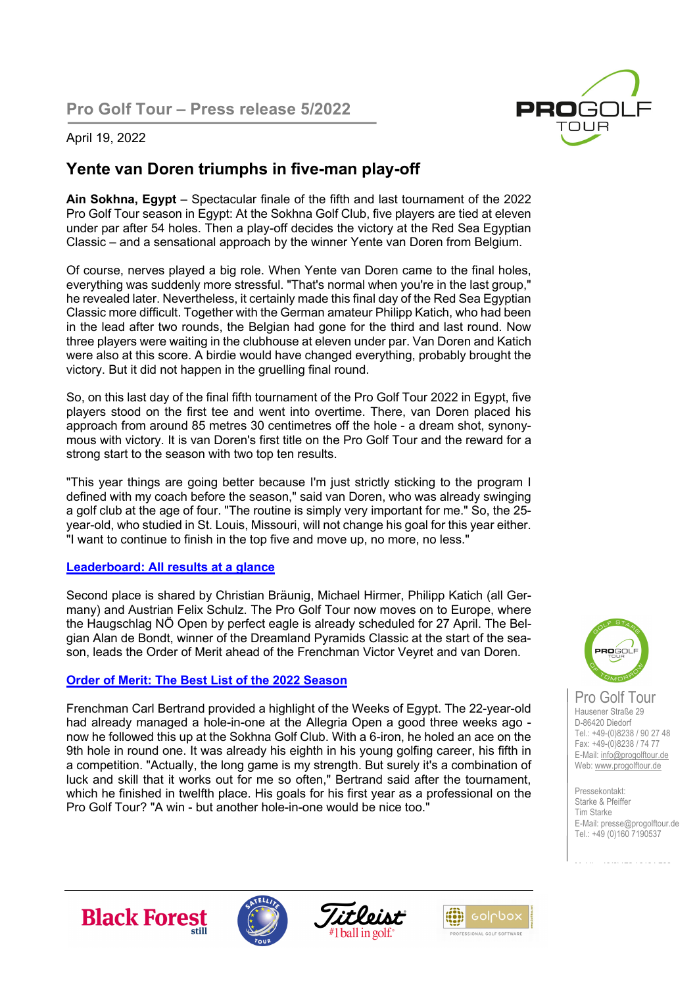**Pro Golf Tour – Press release 5/2022**



## April 19, 2022

## **Yente van Doren triumphs in five-man play-off**

**Ain Sokhna, Egypt** – Spectacular finale of the fifth and last tournament of the 2022 Pro Golf Tour season in Egypt: At the Sokhna Golf Club, five players are tied at eleven under par after 54 holes. Then a play-off decides the victory at the Red Sea Egyptian Classic – and a sensational approach by the winner Yente van Doren from Belgium.

Of course, nerves played a big role. When Yente van Doren came to the final holes, everything was suddenly more stressful. "That's normal when you're in the last group," he revealed later. Nevertheless, it certainly made this final day of the Red Sea Egyptian Classic more difficult. Together with the German amateur Philipp Katich, who had been in the lead after two rounds, the Belgian had gone for the third and last round. Now three players were waiting in the clubhouse at eleven under par. Van Doren and Katich were also at this score. A birdie would have changed everything, probably brought the victory. But it did not happen in the gruelling final round.

So, on this last day of the final fifth tournament of the Pro Golf Tour 2022 in Egypt, five players stood on the first tee and went into overtime. There, van Doren placed his approach from around 85 metres 30 centimetres off the hole - a dream shot, synonymous with victory. It is van Doren's first title on the Pro Golf Tour and the reward for a strong start to the season with two top ten results.

"This year things are going better because I'm just strictly sticking to the program I defined with my coach before the season," said van Doren, who was already swinging a golf club at the age of four. "The routine is simply very important for me." So, the 25 year-old, who studied in St. Louis, Missouri, will not change his goal for this year either. "I want to continue to finish in the top five and move up, no more, no less."

## **Leaderboard: All results at a glance**

Second place is shared by Christian Bräunig, Michael Hirmer, Philipp Katich (all Germany) and Austrian Felix Schulz. The Pro Golf Tour now moves on to Europe, where the Haugschlag NÖ Open by perfect eagle is already scheduled for 27 April. The Belgian Alan de Bondt, winner of the Dreamland Pyramids Classic at the start of the season, leads the Order of Merit ahead of the Frenchman Victor Veyret and van Doren.

## **Order of Merit: The Best List of the 2022 Season**

Frenchman Carl Bertrand provided a highlight of the Weeks of Egypt. The 22-year-old had already managed a hole-in-one at the Allegria Open a good three weeks ago now he followed this up at the Sokhna Golf Club. With a 6-iron, he holed an ace on the 9th hole in round one. It was already his eighth in his young golfing career, his fifth in a competition. "Actually, the long game is my strength. But surely it's a combination of luck and skill that it works out for me so often," Bertrand said after the tournament, which he finished in twelfth place. His goals for his first year as a professional on the Pro Golf Tour? "A win - but another hole-in-one would be nice too."



Pro Golf Tour Hausener Straße 29 D-86420 Diedorf Tel.: +49-(0)8238 / 90 27 48 Fax: +49-(0)8238 / 74 77 E-Mail: info@progolftour.de Web: www.progolftour.de

Pressekontakt: Starke & Pfeiffer Tim Starke E-Mail: presse@progolftour.de Tel.: +49 (0)160 7190537